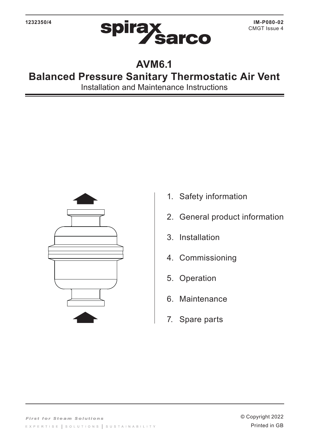

## **AVM6.1**

## **Balanced Pressure Sanitary Thermostatic Air Vent**

Installation and Maintenance Instructions



- 1. Safety information
- 2. General product information
- 3. Installation
- 4. Commissioning
- 5. Operation
- 6. Maintenance
- 7. Spare parts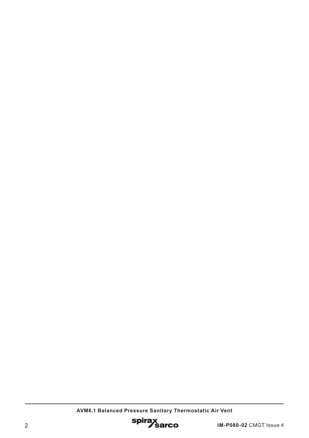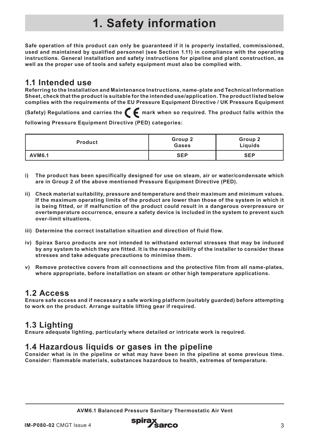# **1. Safety information**

**Safe operation of this product can only be guaranteed if it is properly installed, commissioned, used and maintained by qualified personnel (see Section 1.11) in compliance with the operating instructions. General installation and safety instructions for pipeline and plant construction, as well as the proper use of tools and safety equipment must also be complied with.**

### **1.1 Intended use**

**Referring to the Installation and Maintenance Instructions, name-plate and Technical Information Sheet, check that the product is suitable for the intended use/application. The product listed below complies with the requirements of the EU Pressure Equipment Directive / UK Pressure Equipment** 

**(Safety) Regulations and carries the**  $\bullet$  mark when so required. The product falls within the

**following Pressure Equipment Directive (PED) categories:**

| Product       | Group 2<br>Gases | Group 2<br>Liquids |
|---------------|------------------|--------------------|
| <b>AVM6.1</b> | <b>SEP</b>       | <b>SEP</b>         |

- **i) The product has been specifically designed for use on steam, air or water/condensate which are in Group 2 of the above mentioned Pressure Equipment Directive (PED).**
- **ii) Check material suitability, pressure and temperature and their maximum and minimum values. If the maximum operating limits of the product are lower than those of the system in which it is being fitted, or if malfunction of the product could result in a dangerous overpressure or overtemperature occurrence, ensure a safety device is included in the system to prevent such over-limit situations.**
- **iii) Determine the correct installation situation and direction of fluid flow.**
- **iv) Spirax Sarco products are not intended to withstand external stresses that may be induced by any system to which they are fitted. It is the responsibility of the installer to consider these stresses and take adequate precautions to minimise them.**
- **v) Remove protective covers from all connections and the protective film from all name-plates, where appropriate, before installation on steam or other high temperature applications.**

### **1.2 Access**

**Ensure safe access and if necessary a safe working platform (suitably guarded) before attempting to work on the product. Arrange suitable lifting gear if required.**

## **1.3 Lighting**

**Ensure adequate lighting, particularly where detailed or intricate work is required.**

### **1.4 Hazardous liquids or gases in the pipeline**

**Consider what is in the pipeline or what may have been in the pipeline at some previous time. Consider: flammable materials, substances hazardous to health, extremes of temperature.**

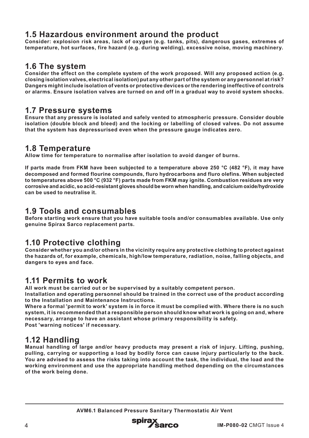### **1.5 Hazardous environment around the product**

**Consider: explosion risk areas, lack of oxygen (e.g. tanks, pits), dangerous gases, extremes of temperature, hot surfaces, fire hazard (e.g. during welding), excessive noise, moving machinery.**

### **1.6 The system**

**Consider the effect on the complete system of the work proposed. Will any proposed action (e.g. closing isolation valves, electrical isolation) put any other part of the system or any personnel at risk? Dangers might include isolation of vents or protective devices or the rendering ineffective of controls or alarms. Ensure isolation valves are turned on and off in a gradual way to avoid system shocks.**

### **1.7 Pressure systems**

**Ensure that any pressure is isolated and safely vented to atmospheric pressure. Consider double isolation (double block and bleed) and the locking or labelling of closed valves. Do not assume that the system has depressurised even when the pressure gauge indicates zero.**

## **1.8 Temperature**

**Allow time for temperature to normalise after isolation to avoid danger of burns.**

**If parts made from FKM have been subjected to a temperature above 250 °C (482 °F), it may have decomposed and formed flourine compounds, fluro hydrocarbons and fluro olefins. When subjected to temperatures above 500 °C (932 °F) parts made from FKM may ignite. Combustion residues are very corrosive and acidic, so acid-resistant gloves should be worn when handling, and calcium oxide/hydroxide can be used to neutralise it.**

### **1.9 Tools and consumables**

**Before starting work ensure that you have suitable tools and/or consumables available. Use only genuine Spirax Sarco replacement parts.**

## **1.10 Protective clothing**

**Consider whether you and/or others in the vicinity require any protective clothing to protect against the hazards of, for example, chemicals, high/low temperature, radiation, noise, falling objects, and dangers to eyes and face.**

### **1.11 Permits to work**

**All work must be carried out or be supervised by a suitably competent person.**

**Installation and operating personnel should be trained in the correct use of the product according to the Installation and Maintenance Instructions.**

**Where a formal 'permit to work' system is in force it must be complied with. Where there is no such system, it is recommended that a responsible person should know what work is going on and, where necessary, arrange to have an assistant whose primary responsibility is safety. Post 'warning notices' if necessary.**

## **1.12 Handling**

**Manual handling of large and/or heavy products may present a risk of injury. Lifting, pushing, pulling, carrying or supporting a load by bodily force can cause injury particularly to the back. You are advised to assess the risks taking into account the task, the individual, the load and the working environment and use the appropriate handling method depending on the circumstances of the work being done.**

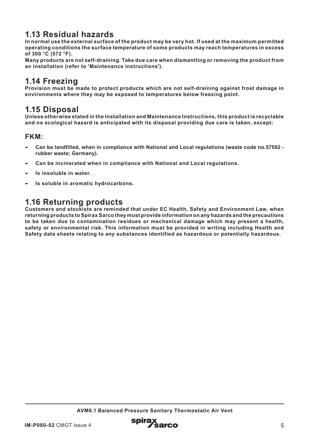## **1.13 Residual hazards**

**In normal use the external surface of the product may be very hot. If used at the maximum permitted operating conditions the surface temperature of some products may reach temperatures in excess of 300 °C (572 °F).**

**Many products are not self-draining. Take due care when dismantling or removing the product from an installation (refer to 'Maintenance instructions').**

### **1.14 Freezing**

**Provision must be made to protect products which are not self-draining against frost damage in environments where they may be exposed to temperatures below freezing point.**

### **1.15 Disposal**

**Unless otherwise stated in the Installation and Maintenance Instructions, this product is recyclable and no ecological hazard is anticipated with its disposal providing due care is taken, except:**

#### **FKM:**

- **- Can be landfilled, when in compliance with National and Local regulations (waste code no.57502 rubber waste; Germany).**
- **- Can be incinerated when in compliance with National and Local regulations.**
- **- Is insoluble in water.**
- **- Is soluble in aromatic hydrocarbons.**

### **1.16 Returning products**

**Customers and stockists are reminded that under EC Health, Safety and Environment Law, when returning products to Spirax Sarco they must provide information on any hazards and the precautions to be taken due to contamination residues or mechanical damage which may present a health, safety or environmental risk. This information must be provided in writing including Health and Safety data sheets relating to any substances identified as hazardous or potentially hazardous.**

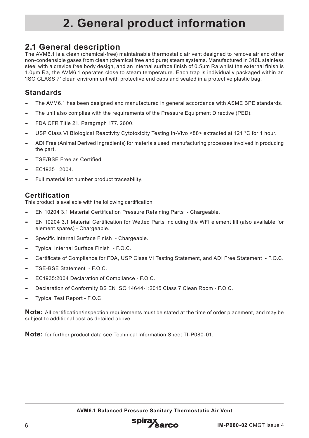# **2. General product information**

### **2.1 General description**

The AVM6.1 is a clean (chemical-free) maintainable thermostatic air vent designed to remove air and other non-condensible gases from clean (chemical free and pure) steam systems. Manufactured in 316L stainless steel with a crevice free body design, and an internal surface finish of 0.5µm Ra whilst the external finish is 1.0µm Ra, the AVM6.1 operates close to steam temperature. Each trap is individually packaged within an 'ISO CLASS 7' clean environment with protective end caps and sealed in a protective plastic bag.

#### **Standards**

- The AVM6.1 has been designed and manufactured in general accordance with ASME BPE standards.
- The unit also complies with the requirements of the Pressure Equipment Directive (PED).
- FDA CFR Title 21. Paragraph 177. 2600.
- USP Class VI Biological Reactivity Cytotoxicity Testing In-Vivo <88> extracted at 121 °C for 1 hour.
- ADI Free (Animal Derived Ingredients) for materials used, manufacturing processes involved in producing the part.
- TSE/BSE Free as Certified.
- EC1935 : 2004.
- Full material lot number product traceability.

#### **Certification**

This product is available with the following certification:

- EN 10204 3.1 Material Certification Pressure Retaining Parts Chargeable.
- EN 10204 3.1 Material Certification for Wetted Parts including the WFI element fill (also available for element spares) - Chargeable.
- Specific Internal Surface Finish Chargeable.
- Typical Internal Surface Finish F.O.C.
- Certificate of Compliance for FDA, USP Class VI Testing Statement, and ADI Free Statement F.O.C.
- TSE-BSE Statement F.O.C.
- EC1935:2004 Declaration of Compliance F.O.C.
- Declaration of Conformity BS EN ISO 14644-1:2015 Class 7 Clean Room F.O.C.
- Typical Test Report F.O.C.

**Note:** All certification/inspection requirements must be stated at the time of order placement, and may be subject to additional cost as detailed above.

**Note:** for further product data see Technical Information Sheet TI-P080-01.

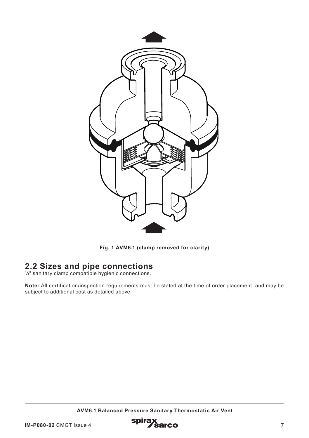

**Fig. 1 AVM6.1 (clamp removed for clarity)**

# **2.2 Sizes and pipe connections ½**" sanitary clamp compatible hygienic connections.

**Note:** All certification/inspection requirements must be stated at the time of order placement, and may be subject to additional cost as detailed above.

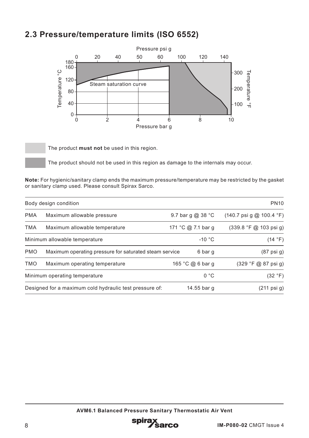## **2.3 Pressure/temperature limits (ISO 6552)**



|            | Temperature °C<br>$120 -$<br>Steam saturation curve<br>$80 -$<br>40<br>$0 -$<br>$\overline{2}$<br>0<br>Pressure bar g                                                                                                                          | 8<br>6             | Temperature<br>$-200$<br>100<br>'n<br>10                     |
|------------|------------------------------------------------------------------------------------------------------------------------------------------------------------------------------------------------------------------------------------------------|--------------------|--------------------------------------------------------------|
|            | The product must not be used in this region.<br>The product should not be used in this region as damage to the internals may occur.<br>Note: For hygienic/sanitary clamp ends the maximum pressure/temperature may be restricted by the gasket |                    |                                                              |
|            | or sanitary clamp used. Please consult Spirax Sarco.                                                                                                                                                                                           |                    |                                                              |
|            | Body design condition                                                                                                                                                                                                                          |                    | <b>PN10</b>                                                  |
| <b>PMA</b> | Maximum allowable pressure                                                                                                                                                                                                                     | 9.7 bar g $@38 °C$ | $(140.7 \text{ psi } q \text{ @ } 100.4 \text{ } ^{\circ}F)$ |
| <b>TMA</b> | Maximum allowable temperature                                                                                                                                                                                                                  | 171 °C @ 7.1 bar g | $(339.8 \degree F @ 103 \text{ psi g})$                      |
|            | Minimum allowable temperature                                                                                                                                                                                                                  | $-10 °C$           | (14 °F)                                                      |
| <b>PMO</b> | Maximum operating pressure for saturated steam service                                                                                                                                                                                         | 6 bar q            | $(87 \text{ psi } q)$                                        |
| TMO        | Maximum operating temperature                                                                                                                                                                                                                  | 165 °C @ 6 bar g   | (329 °F @ 87 psi g)                                          |
|            | Minimum operating temperature                                                                                                                                                                                                                  | 0 °C               | (32 °F)                                                      |

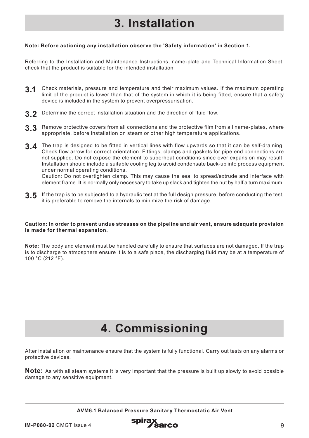## **3. Installation**

#### **Note: Before actioning any installation observe the 'Safety information' in Section 1.**

Referring to the Installation and Maintenance Instructions, name-plate and Technical Information Sheet, check that the product is suitable for the intended installation:

- **3.1** Check materials, pressure and temperature and their maximum values. If the maximum operating limit of the product is lower than that of the system in which it is being fitted, ensure that a safety device is included in the system to prevent overpressurisation.
- **3.2** Determine the correct installation situation and the direction of fluid flow.
- **3.3** Remove protective covers from all connections and the protective film from all name-plates, where appropriate, before installation on steam or other high temperature applications.
- **3.4** The trap is designed to be fitted in vertical lines with flow upwards so that it can be self-draining. Check flow arrow for correct orientation. Fittings, clamps and gaskets for pipe end connections are not supplied. Do not expose the element to superheat conditions since over expansion may result. Installation should include a suitable cooling leg to avoid condensate back-up into process equipment under normal operating conditions.

Caution: Do not overtighten clamp. This may cause the seal to spread/extrude and interface with element frame. It is normally only necessary to take up slack and tighten the nut by half a turn maximum.

**3.5** If the trap is to be subjected to a hydraulic test at the full design pressure, before conducting the test, it is preferable to remove the internals to minimize the risk of damage.

#### **Caution: In order to prevent undue stresses on the pipeline and air vent, ensure adequate provision is made for thermal expansion.**

**Note:** The body and element must be handled carefully to ensure that surfaces are not damaged. If the trap is to discharge to atmosphere ensure it is to a safe place, the discharging fluid may be at a temperature of 100 °C (212 °F).

## **4. Commissioning**

After installation or maintenance ensure that the system is fully functional. Carry out tests on any alarms or protective devices.

**Note:** As with all steam systems it is very important that the pressure is built up slowly to avoid possible damage to any sensitive equipment.

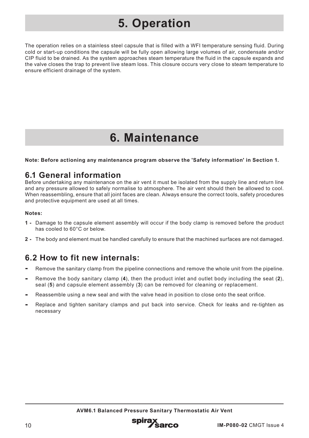# **5. Operation**

The operation relies on a stainless steel capsule that is filled with a WFI temperature sensing fluid. During cold or start-up conditions the capsule will be fully open allowing large volumes of air, condensate and/or CIP fluid to be drained. As the system approaches steam temperature the fluid in the capsule expands and the valve closes the trap to prevent live steam loss. This closure occurs very close to steam temperature to ensure efficient drainage of the system.

## **6. Maintenance**

#### **Note: Before actioning any maintenance program observe the 'Safety information' in Section 1.**

### **6.1 General information**

Before undertaking any maintenance on the air vent it must be isolated from the supply line and return line and any pressure allowed to safely normalise to atmosphere. The air vent should then be allowed to cool. When reassembling, ensure that all joint faces are clean. Always ensure the correct tools, safety procedures and protective equipment are used at all times.

#### **Notes:**

- **1** Damage to the capsule element assembly will occur if the body clamp is removed before the product has cooled to 60°C or below.
- **2** The body and element must be handled carefully to ensure that the machined surfaces are not damaged.

### **6.2 How to fit new internals:**

- **-** Remove the sanitary clamp from the pipeline connections and remove the whole unit from the pipeline.
- **-** Remove the body sanitary clamp (**4**), then the product inlet and outlet body including the seat (**2**), seal (**5**) and capsule element assembly (**3**) can be removed for cleaning or replacement.
- **-** Reassemble using a new seal and with the valve head in position to close onto the seat orifice.
- **-** Replace and tighten sanitary clamps and put back into service. Check for leaks and re-tighten as necessary

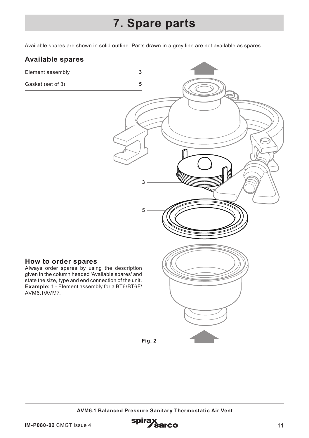# **7. Spare parts**

Available spares are shown in solid outline. Parts drawn in a grey line are not available as spares.

### **Available spares**



**AVM6.1 Balanced Pressure Sanitary Thermostatic Air Vent**

**IM-P080-02 CMGT Issue 4 11 12 Spirax Spirax 11**